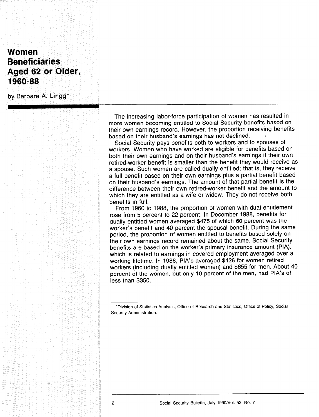# Women **Beneficiaries** Aged 62 or Older, 1960-88

by Barbara A. Lingg\*

The increasing labor-force participation of women has resulted in more women becoming entitled to Social Security benefits based on their own earnings record. However, the proportion receiving benefits based on their husband's earnings has not declined.

Social Security pays benefits both to workers and to spouses of workers. Women who have worked are eligible for benefits based on both their own earnings and on their husband's earnings if their own retired-worker benefit is smaller than the benefit they would receive as a spouse. Such women are called dually entitled; that is, they receive a full benefit based on their own earnings plus a partial benefit based on their husband's earnings. The amount of that partial benefit is the difference between their own retired-worker benefit and the amount to which they are entitled as a wife or widow. They do not receive both benefits in full.

From 1960 to 1988, the proportion of women with dual entitlement rose from 5 percent to 22 percent. In December 1988, benefits for dually entitled women averaged \$475 of which 60 percent was the worker's benefit and 40 percent the spousal benefit. During the same period, the proportion of women entitled to benefits based solely on their own earnings record remained about the same. Social Security benefits are based on the worker's primary insurance amount (PIA), which is related to earnings in covered employment averaged over a working lifetime. In 1988, PIA's averaged \$426 for women retired workers (including dually entitled women) and \$655 for men. About 40 percent of the women, but only 10 percent of the men, had PIA's of less than \$350.

<sup>\*</sup>Division of Statistics Analysis, Office of Research and Statistics, Office of Policy, Social Security Administration.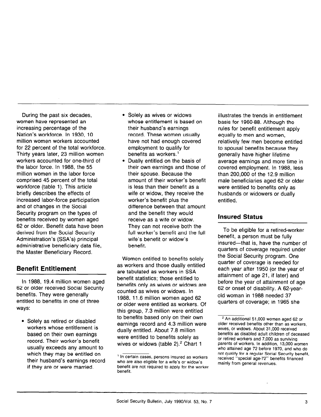During the past six decades, women have represented an increasing percentage of the Nation's workforce. In 1930, 10 million women workers accounted for 22 percent of the total workforce. Thirty years later, 23 million women workers accounted for one-third of the labor force. In 1988, the 55 million women in the labor force comprised 45 percent of the total workforce (table 1). This article briefly describes the effects of increased labor-force participation and of changes in the Social Security program on the types of benefits received by women aged 62 or older. Benefit data have been derived from the Social Security Administration's (SSA's) principal administrative beneficiary data file, the Master Beneficiary Record.

## Benefit Entitlement

In 1988, 19.4 million women aged 62 or older received Social Security benefits. They were generally entitled to benefits in one of three ways:

• Solely as retired or disabled workers whose entitlement is based on their own earnings record. Their worker's benefit usually exceeds any amount to which they may be entitled on their husband's earnings record if they are or were married.

• Solely as wives or widows whose entitlement is based on their husband's earnings record. These women usually have not had enough covered employment to qualify for benefits as workers.<sup>1</sup>

-

Dually entitled on the basis of their own earnings and those of their spouse. Because the amount of their worker's benefit is less than their benefit as a wife or widow, they receive the worker's benefit plus the difference between that amount and the benefit they would receive as a wife or widow. They can not receive both the full worker's benefit and the full wife's benefit or widow's benefit.

Women entitled to benefits solely as workers and those dually entitled are tabulated as workers in SSA benefit statistics; those entitled to benefits only as wives or widows are counted as wives or widows. In 1988, 11.6 million women aged 62 or older were entitled as workers. Of this group, 7.3 million were entitled to benefits based only on their own earnings record and 4.3 million were dually entitled. About 7.8 million were entitled to benefits solely as wives or widows (table  $2$ ).<sup>2</sup> Chart 1

illustrates the trends in entitlement basis for 1960-88. Although the rules for benefit entitlement apply equally to men and women, relatively few men become entitled to spousal benefits because they generally have higher lifetime average earnings and more time in covered employment. In 1988, less than 200,000 of the 12.9 million male beneficiaries aged 62 or older were entitled to benefits only as husbands or widowers or dually entitled.

### Insured Status

To be eligible for a retired-worker benefit, a person must be fully insured-that is, have the number of quarters of coverage required under the Social Security program. One quarter of coverage is needed for each year after 1950 (or the year of attainment of age 21, if later) and before the year of attainment of age 62 or onset of disability. A 62-yearold woman in 1988 needed 37 quarters of coverage; in 1965 she

<sup>&#</sup>x27; ln Certain cases, persons insured as workers in the cases of the control of the control of the control of the<br>The control of the control of the control of the control of the control of the control of the control of the c who celliant cases, persons insured as wo who are also eligible for a wife's or widow's benefit are not required to apply for the worker<br>benefit.

 $\overline{\phantom{1}}$ older received bei powers of the product of the product of the set of the set of the set of the set of the set o older received benefits other than as workers. wives, or widows. About 31,000 received benefits as disabled adult children of deceased or retired workers and 7,000 as surviving parents of workers. In addition, 13,000 women who attained age 72 before 1970, and who do not qualify for a reqular Social Security benefit. received "special age-72" benefits financed<br>mainly from general revenues.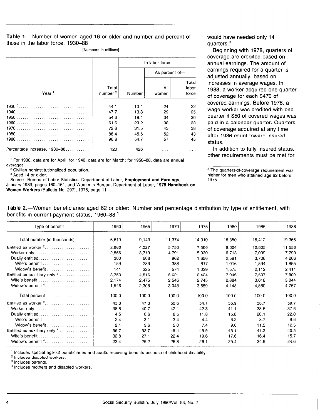#### Table 1.-Number of women aged 16 or older and number and percent of those in the labor force, 1930-88

[Numbers in millions]

|                              |                                                      | In labor force                                       |                                        |                                        |  |
|------------------------------|------------------------------------------------------|------------------------------------------------------|----------------------------------------|----------------------------------------|--|
| Year <sup>1</sup>            |                                                      |                                                      | As percent of-                         |                                        |  |
|                              | Total<br>number <sup>2</sup>                         | Number                                               | All<br>women                           | Total<br>labor<br>force                |  |
|                              | 44.1<br>47.7<br>54.3<br>61.6<br>72.8<br>88.4<br>96.8 | 10.4<br>13.8<br>18.4<br>23.2<br>31.5<br>45.5<br>54.7 | 24<br>29<br>34<br>38<br>43<br>52<br>57 | 22<br>25<br>30<br>33<br>38<br>43<br>45 |  |
| Percentage increase, 1930–88 | 120                                                  | 426                                                  |                                        |                                        |  |

' For 1930, data are for April; for 1940, data are for March; for 1950-88, data are annual averages.

<sup>2</sup> Civilian noninstitutionalized population.

<sup>3</sup> Aged 14 or older.

Source: Bureau of Labor Statistics, Department of Labor, Employment and Earnings,

January 1989, pages 160-161, and Women's Bureau, Department of Labor, 1975 Handbook on Women Workers (Bulletin No. 297), 1975, page 11.

would have needed only 14 quarters.<sup>3</sup>

Beginning with 1978, quarters of coverage are credited based on annual earnings. The amount of earnings required for a quarter is adjusted annually, based on increases in average wages. In 1988, a worker acquired one quarter of coverage for each \$470 of covered earnings. Before 1978, a wage worker was credited with one quarter if \$50 of covered wages was paid in a calendar quarter. Quarters of coverage acquired at any time after 1936 count toward insured status.

In addition to fully insured status, other requirements must be met for

Table 2.—Women beneficiaries aged 62 or older: Number and percentage distribution by type of entitlement, with benefits in current-payment status, 1960-88 '

| Type of benefit                                                                | 1960  | 1965  | 1970   | 1975   | 1980   | 1985   | 1988   |
|--------------------------------------------------------------------------------|-------|-------|--------|--------|--------|--------|--------|
| Total number (in thousands)                                                    | 6,619 | 9,143 | 11,374 | 14,010 | 16,350 | 18,412 | 19,365 |
| Entitled as worker $2, \ldots, \ldots, \ldots, \ldots, \ldots$                 | 2,866 | 4,327 | 5.753  | 7,586  | 9.304  | 10.805 | 11.556 |
| Worker only                                                                    | 2.566 | 3.719 | 4.791  | 5,930  | 6,713  | 7.099  | 7,290  |
| Dually entitled                                                                | 300   | 608   | 962    | 1.656  | 2,591  | 3.706  | 4.266  |
| Wife's benefit $\ldots, \ldots, \ldots, \ldots, \ldots, \ldots$                | 159   | 283   | 388    | 617    | 1,016  | 1.594  | 1,855  |
| Widow's benefit                                                                | 141   | 325   | 574    | 1.039  | 1.575  | 2.112  | 2,411  |
|                                                                                | 3.753 | 4.816 | 5,621  | 6.424  | 7,046  | 7.607  | 7,809  |
| Wife's benefit $\ldots$ , $\ldots$ , $\ldots$ , $\ldots$ , $\ldots$ , $\ldots$ | 2.174 | 2,475 | 2.546  | 2.745  | 2.884  | 3,018  | 3,044  |
|                                                                                | 1,546 | 2,308 | 3,048  | 3.659  | 4,148  | 4,580  | 4.757  |
| Total percent                                                                  | 100.0 | 100.0 | 100.0  | 100.0  | 100.0  | 100.0  | 100.0  |
| Entitled as worker <sup>2</sup>                                                | 43.3  | 47.3  | 50.6   | 54.1   | 56.9   | 58.7   | 59.7   |
|                                                                                | 38.8  | 40.7  | 42.1   | 42.3   | 41.1   | 38.6   | 37.6   |
| Dually entitled                                                                | 4.5   | 6.6   | 8.5    | 11.8   | 15.8   | 20.1   | 22.0   |
| Wife's benefit                                                                 | 2.4   | 3.1   | 3.4    | 4.4    | 6.2    | 8.7    | 9.6    |
| Widow's benefit                                                                | 2.1   | 3.6   | 5.0    | 7.4    | 9.6    | 11.5   | 12.5   |
| Entitled as auxilliary only $3, \ldots, \ldots, \ldots$                        | 56.7  | 52.7  | 49.4   | 45.9   | 43.1   | 41.3   | 40.3   |
| Wife's benefit                                                                 | 32.8  | 27.1  | 22.4   | 19.6   | 17.6   | 16.4   | 15.7   |
|                                                                                | 23.4  | 25.2  | 26.8   | 26.1   | 25.4   | 24.9   | 24.6   |

\* includes special age-72

 $2$  Includes disabled workers.

 $3$  Includes parents.<br> $4$  Includes mothers and disabled workers.

<sup>&</sup>lt;sup>3</sup> The quarters-of-coverage requirement was higher for men who attained age 62 before 1975.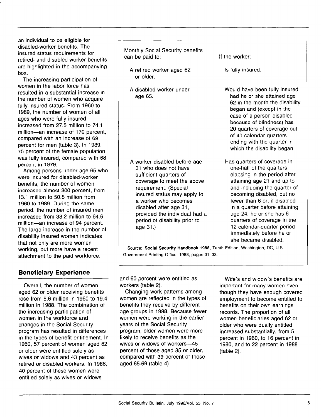an individual to be eligible for disabled-worker benefits. The insured status requirements for retired- and disabled-worker benefits are highlighted in the accompanying box.

The increasing participation of women in the labor force has resulted in a substantial increase in the number of women who acquire fully insured status. From 1960 to 1989, the number of women of all ages who were fully insured increased from 27.5 million to 74.1 million-an increase of 170 percent, compared with an increase of 69 percent for men (table 3). In 1989, 75 percent of the female population was fully insured, compared with 68 percent in 1979.

Among persons under age 65 who were insured for disabled-worker benefits, the number of women increased almost 300 percent, from 13.1 million to 50.8 million from 1960 to 1989. During the same period, the number of insured men increased from 33.2 million to 64.6 million-an increase of 94 percent. The large increase in the number of disability insured women indicates that not only are more women working, but more have a recent attachment to the paid workforce.

### Beneficiary Experience

Overall, the number of women aged 62 or older receiving benefits rose from 6.6 million in 1960 to 19.4 million in 1988. The combination of the increasing participation of women in the workforce and changes in the Social Security program has resulted in differences in the types of benefit entitlement. In 1960, 57 percent of women and the sea root, or percent or women ag or older were entitled solely as wives or widows and 43 percent as retired or disabled workers. In 1988, 40 percent of these women were<br>entitled solely as wives or widows

Monthly Social Security benefits can be paid to: If the worker:

- A retired worker aged 62 or older.
- A disabled worker under age 65.

A worker disabled before age 31 who does not have sufficient quarters of coverage to meet the above requirement. (Special insured status may apply to a worker who becomes disabled after age 31, provided the individual had a period of disability prior to age 31.)

Is fully insured.

Would have been fully insured had he or she attained age 62 in the month the disability began and (except in the case of a person disabled because of blindness) has 20 quarters of coverage out of 40 calendar quarters ending with the quarter in which the disability began.

Has quarters of coverage in one-half of the quarters elapsing in the period after attaining age 21 and up to and including the quarter of becoming disabled, but no fewer than 6 or, if disabled in a quarter before attaining age 24, he or she has 6 quarters of coverage in the 12 calendar-quarter period immediately before he or she became disabled.

Source: Social Security Handbook 1988, Tenth Edition, Washington, DC, U.S. Government Printing Office, 1988, pages 31-33.

and 60 percent were entitled as workers (table 2).

Changing work patterns among women are reflected in the types of benefits they receive by different age groups in 1988. Because fewer women were working in the earlier years of the Social Security program, older women were more likely to receive benefits as the  $m$ ers to receive befields as percent of those agencies and those agency of those agency of the second second second second 85 or  $\sim$ percent of those aged 85 or older, compared with 39 percent of those<br>aged 65-69 (table 4).

Wife's and widow's benefits are important for many women even though they have enough covered employment to become entitled to benefits on their own earnings records. The proportion of all woordo. The proportion of all women beneficially aged of older who were dually entitled<br>increased substantially, from 5  $m$ processor substantially, from  $\sigma$ percent in 1988, to 10 percent in  $1988$ 1980, and to 22 percent in 1988<br>(table 2).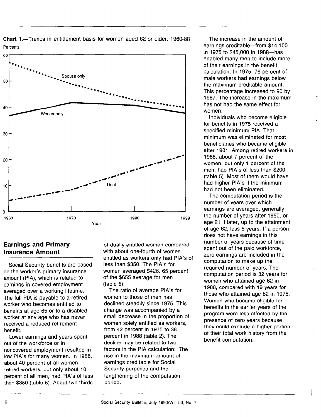

Chart 1 .-Trends in entitlement basis for women aged 62 or older, 1960-88 Percents

### Earnings and Primary Insurance Amount

Social Security benefits are based on the worker's primary insurance amount (PIA), which is related to earnings in covered employment averaged over a working lifetime. The full PIA is payable to a retired worker who becomes entitled to benefits at age 65 or to a disabled worker at any age who has never received a reduced retirement benefit.

Lower earnings and years spent out of the workforce or in noncovered employment resulted in loncovered employment resulted in  $\frac{1}{2}$  percent of all matry women. about 40 percent of all women retired workers, but only about 10 percent of all men, had PIA's of less<br>than \$350 (table 5). About two-thirds

of dually entitled women compared with about one-fourth of women entitled as workers only had PIA's of less than \$350. The PIA's for women averaged \$426, 65 percent of the \$655 average for men (table 6).

The ratio of average PIA's for women to those of men has declined steadily since 1975. This change was accompanied by a small decrease in the proportion of women solely entitled as workers, from 42 percent in 1975 to 38 percent in 1988 (table 2). The decline may be related to two factors in the PIA calculation: The rise in the maximum amount of earnings creditable for Social Security purposes and the becampung parposoo and the period.

The increase in the amount of earnings creditable-from \$14,100 in 1975 to \$45,000 in 1988-has enabled many men to include more of their earnings in the benefit calculation. In 1975, 76 percent of male workers had earnings below the maximum creditable amount. This percentage increased to 90 by 1987. The increase in the maximum has not had the same effect for women.

Individuals who become eligible for benefits in 1975 received a specified minimum PIA. That minimum was eliminated for most beneficiaries who became eligible after 1981. Among retired workers in 1988, about 7 percent of the women, but only 1 percent of the men, had PIA's of less than \$200 (table 5). Most of them would have had higher PIA's if the minimum had not been eliminated.

The computation period is the number of years over which earnings are averaged, generally the number of years after 1950, or age 21 if later, up to the attainment of age 62, less 5 years. If a person does not have earnings in this number of years because of time spent out of the paid workforce, zero earnings are included in the computation to make up the required number of years. The computation period is 32 years for women who attained age 62 in 1988, compared with 19 years for those who attained age 62 in 1975. Women who became eligible for benefits in the earlier years of the program were less affected by the presence of zero years because they could exclude a higher portion of their total work history from the benefit computation.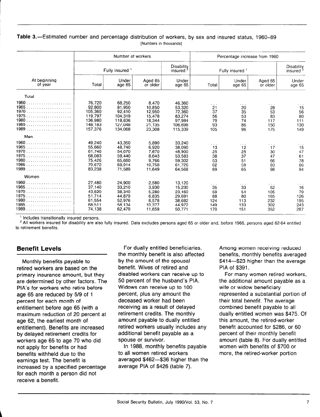#### Table 3.-Estimated number and percentage distribution of workers, by sex and insured status, 1960-89 [Numbers in thousands]

|                                                           | Number of workers                                                       |                                                                        |                                                                   |                                                                      | Percentage increase from 1960                                |                                                                        |                                              |                                              |
|-----------------------------------------------------------|-------------------------------------------------------------------------|------------------------------------------------------------------------|-------------------------------------------------------------------|----------------------------------------------------------------------|--------------------------------------------------------------|------------------------------------------------------------------------|----------------------------------------------|----------------------------------------------|
|                                                           |                                                                         | Fully insured 1                                                        |                                                                   | Disability<br>insured                                                |                                                              | Fully insured 1                                                        |                                              | Disability<br>insured <sup>2</sup>           |
| At beginning<br>of year                                   | Total                                                                   | Under<br>age 65                                                        | Aged 65<br>or older                                               | Under<br>age 65                                                      | Total                                                        | Under<br>age 65                                                        | Aged 65<br>or older                          | Under<br>age 65                              |
| Total                                                     |                                                                         |                                                                        |                                                                   |                                                                      |                                                              |                                                                        |                                              |                                              |
| 1960<br>.<br>1965<br>1970<br>1975<br>1980<br>1985<br>1989 | 76.720<br>92.800<br>105,360<br>119,797<br>136.980<br>148,183<br>157,376 | 68,250<br>81,950<br>92.410<br>104.319<br>118,636<br>127.048<br>134.068 | 8.470<br>10.850<br>12.950<br>15,478<br>18,344<br>21,135<br>23,308 | 46.360<br>53.320<br>72.360<br>83.274<br>97.984<br>106.698<br>115,339 | $\alpha = 1$ , $\alpha$<br>21<br>37<br>56<br>79<br>93<br>105 | $\sim$ $\sim$ $\sim$<br>20<br>35<br>53<br>74<br>86<br>96               | .<br>28<br>53<br>83<br>117<br>150<br>175     | 15<br>56<br>80<br>111<br>130<br>149          |
| Men                                                       |                                                                         |                                                                        |                                                                   |                                                                      |                                                              |                                                                        |                                              |                                              |
| 1965<br>1970<br>1975<br>1980<br>1985<br>1989              | 49.240<br>55,660<br>61.740<br>68.083<br>75.426<br>79,672<br>83.238      | 43,350<br>48.740<br>54,070<br>59.440<br>65.660<br>68,914<br>71,589     | 5.890<br>6.920<br>7.670<br>8,643<br>9.766<br>10,758<br>11.649     | 33,240<br>38.090<br>48,900<br>53.583<br>59.302<br>61.726<br>64.568   | $\cdots$<br>13<br>25<br>38<br>53<br>62<br>69                 | $\mathbf{r}=\mathbf{r}-\mathbf{r}$<br>12<br>25<br>37<br>51<br>59<br>65 | $\cdots$<br>17<br>30<br>47<br>66<br>83<br>98 | $\cdots$<br>15<br>47<br>61<br>78<br>86<br>94 |
| Women                                                     |                                                                         |                                                                        |                                                                   |                                                                      |                                                              |                                                                        |                                              |                                              |
| 1965<br>1970<br>1975<br>1980<br>1985<br>1989              | 27,480<br>37,140<br>43.620<br>51,714<br>61,554<br>68,511<br>74,138      | 24,900<br>33.210<br>38,340<br>44,879<br>52,976<br>58,134<br>62.479     | 2.580<br>3,930<br>5,280<br>6.835<br>8,578<br>10,377<br>11.659     | 13,120<br>15,230<br>23,460<br>29.691<br>38.682<br>44.972<br>50,771   | .<br>35<br>59<br>88<br>124<br>149<br>170                     | $\sim$ 100 $\pm$<br>33<br>54<br>80<br>113<br>133<br>151                | .<br>52<br>105<br>165<br>232<br>302<br>352   | 16<br>79<br>126<br>195<br>243<br>287         |

' Includes transitionally insured persons.

' All workers insured for disability are also fully insured. Data excludes persons aged 65 or older and, before 1966, persons aged 62-64 entitled to retirement benefits.

### Benefit Levels

Monthly benefits payable to retired workers are based on the primary insurance amount, but they are determined by other factors. The PIA's for workers who retire before age 65 are reduced by 519 of 1 percent for each month of entitlement before age 65 (with a maximum reduction of 20 percent at age 62, the earliest month of entitlement). Benefits are increased by delayed retirement credits for workers age 65 to age 70 who did not apply for benefits or had benefits with the to the to the to the to the to the to the to the to the to the to the to the to the to the t benefits withheld due to the earnings test. The benefit is<br>increased by a specified percentage find eased by a specified percent recent month

For dually entitled beneficiaries, the monthly benefit is also affected by the amount of the spousal benefit. Wives of retired and disabled workers can receive up to 50 percent of the husband's PIA. Widows can receive up to 100 percent, plus any amount the deceased worker had been receiving as a result of delayed retirement credits. The monthly amount payable to dually entitled retired workers usually includes any rom ca workers as aany morder. additional bonom

 $\frac{1}{2}$ to 1900, monthly belief to all women retired workers<br>averaged \$462-\$36 higher than the average PIA of \$426 (table 7).

Among women receiving reduced benefits, monthly benefits averaged \$414~\$23 higher than the average PIA of \$391.

For many women retired workers, the additional amount payable as a wife or widow beneficiary represented a substantial portion of their total benefit. The average combined benefit payable to all dually entitled women was \$475. Of this amount, the retired-worker benefit accounted for \$286, or 60 percent of their monthly benefit amount (table 8). For dually entitled women with benefits of \$700 or more, the retired-worker portion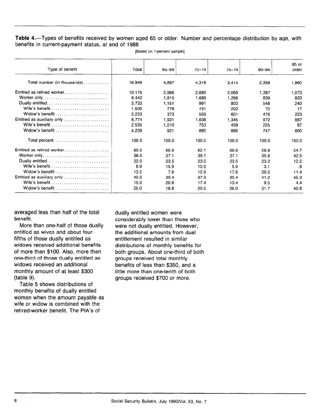Table 4.-Types of benefits received by women aged 65 or older: Number and percentage distribution by age, with benefits in current-payment status, at end of 1988

| Type of benefit                                                 | Total  | 65-69 | $70 - 74$ | $75 - 79$ | $80 - 84$ | 85 or<br>older |
|-----------------------------------------------------------------|--------|-------|-----------|-----------|-----------|----------------|
| Total number (in thousands)                                     | 16,949 | 4,897 | 4,318     | 3,414     | 2,359     | 1,960          |
| Entitled as retired worker                                      | 10.175 | 2.966 | 2,680     | 2,069     | 1,387     | 1,073          |
|                                                                 | 6,442  | 1,815 | 1,689     | 1.266     | 839       | 833            |
| Dually entitled                                                 | 3,733  | 1,151 | 991       | 803       | 548       | 240            |
|                                                                 | 1,500  | 778   | 431       | 202       | 72        | 17             |
|                                                                 | 2,233  | 373   | 559       | 601       | 476       | 223            |
| Entitled as auxiliary only $\ldots \ldots \ldots \ldots \ldots$ | 6.774  | 1,931 | 1.638     | 1.345     | 972       | 887            |
| Wife's benefit                                                  | 2,535  | 1,010 | 753       | 459       | 225       | 87             |
| Widow's benefit                                                 | 4.239  | 921   | 885       | 886       | 747       | 800            |
| Total percent                                                   | 100.0  | 100.0 | 100.0     | 100.0     | 100.0     | 100.0          |
| Entitled as retired worker                                      | 60.0   | 60.6  | 62.1      | 60.6      | 58.8      | 54.7           |
| Worker only                                                     | 38.0   | 37.1  | 39.1      | 37.1      | 35.6      | 42.5           |
|                                                                 | 22.0   | 23.5  | 23.0      | 23.5      | 23.2      | 12.2           |
|                                                                 | 8.9    | 15.9  | 10.0      | 5.9       | 3.1       | .9             |
| Widow's benefit                                                 | 13.2   | 7.6   | 12.9      | 17.6      | 20.2      | 11.4           |
| Entitled as auxiliary only                                      | 40.0   | 39.4  | 37.9      | 39.4      | 41.2      | 45.3           |
| Wife's benefit $\ldots$ , , , , , , ,                           | 15.0   | 20.6  | 17.4      | 13.4      | 9.5       | 4.4            |
| Widow's benefit                                                 | 25.0   | 18.8  | 20.5      | 26.0      | 31.7      | 40.8           |

[Based on l-percent sample]

averaged less than half of the total benefit.

More than one-half of those dually entitled as wives and about fourfifths of those dually entitled as widows received additional benefits of more than \$100. Also, more than one-third of those dually entitled as widows received an additional monthly amount of at least \$300 (table 9).

Table 5 shows distributions of monthly benefits of dually entitled women when the amount payable as wife or widow is combined with the retired-worker benefit. The PIA's of

dually entitled women were considerably lower than those who were not dually entitled. However, the additional amounts from dual entitlement resulted in similar distributions of monthly benefits for both groups. About one-third of both groups received total monthly benefits of less than \$350, and a little more than one-tenth of both groups received \$700 or more.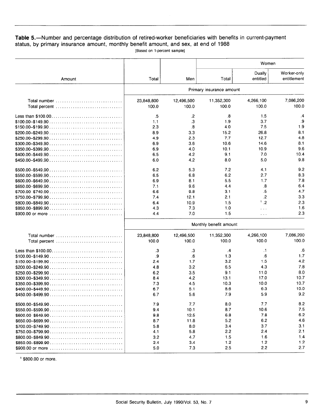#### Table 5.-Number and percentage distribution of retired-worker beneficiaries with benefits in current-payment status, by primary insurance amount, monthly benefit amount, and sex, at end of 1988 [Based on l-percent sample]

|                                                                                                  |                        |                         |                          | Women                |                            |  |  |  |
|--------------------------------------------------------------------------------------------------|------------------------|-------------------------|--------------------------|----------------------|----------------------------|--|--|--|
| Amount                                                                                           | Total                  | Men                     | Total                    | Dually<br>entitled   | Worker-only<br>entitlement |  |  |  |
|                                                                                                  |                        |                         | Primary insurance amount |                      |                            |  |  |  |
| Total number $\ldots, \ldots, \ldots, \ldots, \ldots, \ldots, \ldots, \ldots$<br>Total percent   | 23,848,800<br>100.0    | 12,496,500<br>100.0     | 11,352,300<br>100.0      | 4,266,100<br>100.0   | 7,086,200<br>100.0         |  |  |  |
|                                                                                                  | .5                     | .2                      | .8                       | 1.5                  | .4                         |  |  |  |
| $$100.00 - $149.90 \ldots \ldots \ldots \ldots \ldots \ldots \ldots \ldots \ldots \ldots \ldots$ | 1.1                    | .3                      | 1.9                      | 3.7                  | .9                         |  |  |  |
| $$150.00 - $199.90$                                                                              | 2.3                    | $\overline{\mathbf{8}}$ | 4.0                      | 7.5                  | 1.9                        |  |  |  |
| $$200.00 - $249.90$                                                                              | 8.9                    | 3.3                     | 15.2                     | 26.8                 | 8.1                        |  |  |  |
|                                                                                                  | 4.9                    | 2.3                     | 7.7                      | 12.7                 | 4.8                        |  |  |  |
|                                                                                                  | 6.9                    | 3.6                     | 10.6                     | 14.6                 | 8.1                        |  |  |  |
| $$350.00 - $399.90 \ldots \ldots \ldots \ldots \ldots \ldots \ldots \ldots \ldots \ldots \ldots$ | 6.9                    | 4.0                     | 10.1                     | 10.9                 | 9.6                        |  |  |  |
| $$400.00 - $449.90 \ldots \ldots \ldots \ldots \ldots \ldots \ldots \ldots \ldots \ldots$        | 6.5                    | 4.2                     | 9.1                      | 7.0                  | 10.4                       |  |  |  |
| $$450.00 - $499.90 \ldots \ldots \ldots \ldots \ldots \ldots \ldots \ldots \ldots \ldots$        | 6.0                    | 4.2                     | 8.0                      | 5.0                  | 9.8                        |  |  |  |
| $$500.00 - $549.90 \ldots \ldots \ldots \ldots \ldots \ldots \ldots \ldots \ldots \ldots$        | 6.2                    | 5.3                     | 7.2                      | 4.1                  | 9.2                        |  |  |  |
| $$550.00 - $599.90$                                                                              | 6.5                    | 6.8                     | 6.2                      | 2.7                  | 8.3                        |  |  |  |
| $$600.00 - $649.90$                                                                              | 6.9                    | 8.1                     | 5.5                      | 1.7                  | 7.8                        |  |  |  |
| $$650.00 - $699.90 \ldots \ldots \ldots \ldots \ldots \ldots \ldots \ldots \ldots \ldots \ldots$ | 7.1                    | 9.6                     | 4.4                      | .8                   | 6.4                        |  |  |  |
| $$700.00 - $749.90           $                                                                   | 6.6                    | 9.8                     | 3.1                      | .5                   | 4.7                        |  |  |  |
| $$750.00 - $799.90$                                                                              | 7.4                    | 12.1                    | 2.1                      | $\cdot$              | 3.3                        |  |  |  |
| $$800.00 - $849.90$                                                                              | 6.4                    | 10.9                    | 1.5                      | 1.2                  | 2.3                        |  |  |  |
| $$850.00 - $899.90          $                                                                    | 4.3                    | 7.3                     | 1.0                      | $\sim$ $\sim$ $\sim$ | 1.6                        |  |  |  |
| \$900.00 or more                                                                                 | 4.4                    | 7.0                     | 1.5                      | $\ldots$             | 2.3                        |  |  |  |
|                                                                                                  | Monthly benefit amount |                         |                          |                      |                            |  |  |  |
| Total number<br>Total percent                                                                    | 23,848,800<br>100.0    | 12,496,500<br>100.0     | 11,352,300<br>100.0      | 4,266,100<br>100.0   | 7,086,200<br>100.0         |  |  |  |
|                                                                                                  | .3                     | .3                      | $\cdot$                  | $\cdot$ 1            | $6^{\circ}$                |  |  |  |
| $$100.00 - $149.90$                                                                              | .9                     | .6                      | 1.3                      | .6                   | 1.7                        |  |  |  |
|                                                                                                  | 2.4                    | 1.7                     | 3.2                      | 1.5                  | 4.2                        |  |  |  |
| $$200.00 - $249.90          $                                                                    | 4.8                    | 3.2                     | 6.5                      | 4.3                  | 7.8                        |  |  |  |
| $$250.00 - $299.90          $                                                                    | 6.2                    | 3.5                     | 9.1                      | 11.0                 | 8.0                        |  |  |  |
| $$300.00 - $349.90 \ldots \ldots \ldots \ldots \ldots \ldots \ldots \ldots \ldots \ldots \ldots$ | 8.4                    | 4.2                     | 13.1                     | 17.0                 | 10.7                       |  |  |  |
| $$350.00 - $399.90$                                                                              | 7.3                    | 4.5                     | 10.3                     | 10.0                 | 10.7                       |  |  |  |
| $$400.00 - $449.90 \ldots \ldots \ldots \ldots \ldots \ldots \ldots \ldots \ldots \ldots$        | 6.7                    | 5.1                     | 8.6                      | 6.3                  | 10.0                       |  |  |  |
| $$450.00 - $499.90          $                                                                    | 6.7                    | 5.6                     | 7.9                      | 59                   | 9.2                        |  |  |  |
|                                                                                                  | 7.9                    | 7.7                     | 8.0                      | 7.7                  | 8.2                        |  |  |  |
| $$550.00 - $599.90 \ldots \ldots \ldots \ldots \ldots \ldots \ldots \ldots \ldots \ldots \ldots$ | 9.4                    | 10.1                    | 8.7                      | 10.6                 | 7.5                        |  |  |  |
| $$600.00 - $649.90          $                                                                    | 9.8                    | 12.5                    | 6.8                      | 7.8                  | 6.2                        |  |  |  |
| $$650.00 - $699.90$                                                                              | 8.7                    | 11.8                    | 5.2                      | 6.2                  | 4.6                        |  |  |  |
| $$700.00 - $749.90          $                                                                    | 5.8                    | 8.0                     | 3.4                      | 3.7                  | 3.1                        |  |  |  |
| $$750.00 - $799.90$                                                                              | 4.1                    | 5.8                     | 2.2                      | 2.4                  | 2.1                        |  |  |  |
| $$800.00 - $849.90          $                                                                    | 3.2                    | 4.7                     | 1.5                      | 1.6                  | 1.4                        |  |  |  |
| $$850.00 - $899.90          $                                                                    | 2.4                    | 3.4                     | 1.2                      | 1.2                  | 1.2                        |  |  |  |
| \$900.00 or more                                                                                 | 5.0                    | 7.3                     | 2.5                      | 2.2                  | 2.7                        |  |  |  |
|                                                                                                  |                        |                         |                          |                      |                            |  |  |  |

' \$800.00 or more.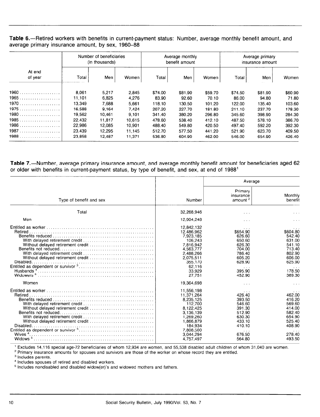Table 6.--Retired workers with benefits in current-payment status: Number, average monthly benefit amount, and average primary insurance amount, by sex, 1960-88

|         | Number of beneficiaries<br>(in thousands) |        | Average monthly<br>benefit amount |         |         | Average primary<br>insurance amount |         |         |         |
|---------|-------------------------------------------|--------|-----------------------------------|---------|---------|-------------------------------------|---------|---------|---------|
| At end  |                                           |        |                                   |         |         |                                     |         |         |         |
| of year | Total                                     | Men    | Women                             | Total   | Men     | Women                               | Total   | Men     | Women   |
|         | 8,061                                     | 5,217  | 2.845                             | \$74.00 | \$81.90 | \$59.70                             | \$74.50 | \$81.90 | \$60.90 |
| 1965    | 11,101                                    | 6.825  | 4,276                             | 83.90   | 92.60   | 70.10                               | 86.00   | 94.80   | 71.80   |
| 1970    | 13,349                                    | 7.688  | 5,661                             | 118.10  | 130.50  | 101.20                              | 122.00  | 135.40  | 103.60  |
|         | 16,588                                    | 9,164  | 7,424                             | 207.20  | 227.70  | 181.80                              | 211.10  | 237.70  | 178.30  |
|         | 19.562                                    | 10,461 | 9.101                             | 341.40  | 380.20  | 296.80                              | 345.60  | 398.90  | 284.30  |
|         | 22,432                                    | 11.817 | 10.615                            | 478.60  | 538.40  | 412.10                              | 487.50  | 578.10  | 386.70  |
| 1986    | 22.986                                    | 12,085 | 10,901                            | 488.40  | 549.80  | 420.50                              | 497.40  | 592.20  | 392.30  |
| 1987    | 23,439                                    | 12,295 | 11.145                            | 512.70  | 577.50  | 441.20                              | 521.90  | 623.70  | 409.50  |
|         | 23.858                                    | 12,487 | 11,371                            | 536.80  | 604.90  | 462.00                              | 546.00  | 654.90  | 426.40  |

Table 7.-Number, average primary insurance amount, and average monthly benefit amount for beneficiaries aged 62 or older with benefits in current-payment status, by type of benefit, and sex, at end of 1988'

|                                    |                                                                                                                                                        | Average                                                                                                                                   |                                                                                                    |  |
|------------------------------------|--------------------------------------------------------------------------------------------------------------------------------------------------------|-------------------------------------------------------------------------------------------------------------------------------------------|----------------------------------------------------------------------------------------------------|--|
| Type of benefit and sex            | Number                                                                                                                                                 | Primary<br>insurance<br>amount <sup>2</sup>                                                                                               | Monthly<br>benefit                                                                                 |  |
| Total                              | 32,268,946                                                                                                                                             | $\cdots$                                                                                                                                  | $\sim$ $\sim$ $\sim$                                                                               |  |
| Men                                | 12,904,248                                                                                                                                             | $\cdots$                                                                                                                                  | $\cdots$                                                                                           |  |
|                                    | 12.842.132<br>12,486,962<br>7,923,185<br>106,243<br>7.816.942<br>4.563.777<br>2,488,266<br>2.075.511<br>355.170<br>62.116<br>33.929<br>27.751          | $\cdots$<br>\$654.90<br>626.60<br>650.60<br>626.30<br>704.00<br>786.40<br>605.20<br>628.90<br>$\cdot$ $\cdot$ $\cdot$<br>395.90<br>452.90 | \$604.80<br>542.40<br>631.00<br>541.10<br>713.40<br>802.90<br>606.00<br>625.90<br>178.50<br>369.30 |  |
| Women                              | 19,364,698                                                                                                                                             | $\cdots$                                                                                                                                  | $\sim$ $\sim$ $\sim$                                                                               |  |
| Wives $4$ .<br>Widows <sup>5</sup> | 11.556.198<br>11,371,264<br>8,235,125<br>112,700<br>8.122.425<br>3.136.139<br>1,269,260<br>1.866.879<br>184:934<br>7.808.500<br>3.044.294<br>4.757.497 | 426.40<br>393.50<br>546.60<br>391.30<br>512.90<br>630.30<br>433.10<br>410.10<br>$\sim$ $\sim$ $\sim$<br>676.50<br>564.80                  | 462.00<br>416.20<br>569.60<br>414.00<br>582.40<br>654.90<br>525.40<br>408.90<br>278.40<br>493.50   |  |

' Primary insurance amounts for spouses and survivors are those of the worker on whose record they are entitled.

<sup>2</sup> Primary insurance amounts for spouses and survivors are those of the worker on whose record they are entitled.

 $<sup>3</sup>$  Includes parents.</sup>

 $^4$  Includes spouses of retired and disabled workers.<br> $^5$  Includes nondisabled and disabled widow(er)'s and widowed mothers and fathers.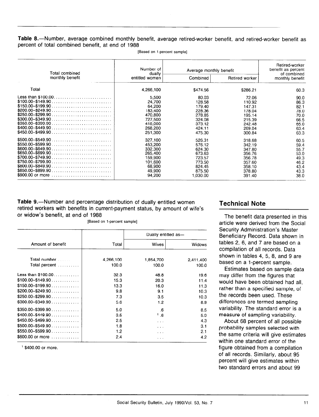Table 8.—Number, average combined monthly benefit, average retired-worker benefit, and retired-worker benefit as percent of total combined benefit, at end of 1988

| Total combined                                                                                                                                                                                                                                                                                                                                                                                                                        | Number of<br>dually                                                                          | Average monthly benefit                                                                  | Retired-worker<br>benefit as percent<br>of combined                                    |                                                                      |
|---------------------------------------------------------------------------------------------------------------------------------------------------------------------------------------------------------------------------------------------------------------------------------------------------------------------------------------------------------------------------------------------------------------------------------------|----------------------------------------------------------------------------------------------|------------------------------------------------------------------------------------------|----------------------------------------------------------------------------------------|----------------------------------------------------------------------|
| monthly benefit                                                                                                                                                                                                                                                                                                                                                                                                                       | entitled women                                                                               | Combined                                                                                 | Retired worker                                                                         | monthly benefit                                                      |
| Total                                                                                                                                                                                                                                                                                                                                                                                                                                 | 4,266,100                                                                                    | \$474.56                                                                                 | \$286.21                                                                               | 60.3                                                                 |
| $$100.00 - $149.90 \ldots \ldots \ldots \ldots \ldots \ldots \ldots \ldots$<br>$$150.00 - $199.90$<br>$$200.00 - $249.90        $<br>$$250.00 - $299.90        $<br>$$300.00 - $349.90 \ldots \ldots \ldots \ldots \ldots \ldots \ldots \ldots$<br>$$350.00 - $399.90 \ldots \ldots \ldots \ldots \ldots \ldots \ldots \ldots$<br>$$400.00 - $449.90        $<br>$$450.00 - $499.90 \ldots \ldots \ldots \ldots \ldots \ldots \ldots$ | 5,500<br>24.700<br>64.200<br>183,400<br>470,800<br>727.500<br>418,000<br>268,200<br>251,300  | 80.03<br>128.58<br>179.40<br>228.36<br>278.85<br>324.08<br>373.12<br>424.11<br>475.30    | 72.06<br>110.92<br>147.31<br>178.04<br>195.14<br>215.39<br>242.48<br>269.04<br>300.84  | 90.0<br>86.3<br>82.1<br>78.0<br>70.0<br>66.5<br>65.0<br>63.4<br>63.3 |
| $$500.00 - $549.90       $<br>$$550.00 - $599.90$<br>$$600.00 - $649.90 \ldots \ldots \ldots \ldots \ldots \ldots \ldots \ldots$<br>$$650.00 - $699.90 \ldots 0.000$<br>$$700.00 - $749.90 \ldots \ldots \ldots \ldots \ldots \ldots \ldots \ldots$<br>$$800.00 - $849.90 \ldots \ldots \ldots \ldots \ldots \ldots \ldots \ldots$<br>$$850.00 - $899.90 \ldots \ldots \ldots \ldots \ldots \ldots \ldots$<br>\$900.00 or more        | 327.100<br>453,200<br>332,300<br>265,400<br>159,900<br>101.600<br>68,900<br>49,900<br>94,200 | 526.31<br>576.12<br>624.30<br>673.63<br>723.57<br>773.50<br>824.45<br>875.50<br>1.030.00 | 318.68<br>342.19<br>347.80<br>356.76<br>356.78<br>357.60<br>358.10<br>378.80<br>391.40 | 60.5<br>59.4<br>55.7<br>53.0<br>49.3<br>46.2<br>43.4<br>43.3<br>38.0 |

[Based on l-percent sample]

Table 9.-Number and percentage distribution of dually entitled women retired workers with benefits in current-payment status, by amount of wife's or widow's benefit, at end of 1988

[Based on l-percent sample]

|                              |           | Dually entitled as- |           |
|------------------------------|-----------|---------------------|-----------|
| Amount of benefit            | Total     | <b>Wives</b>        | Widows    |
| Total number                 | 4,266,100 | 1,854,700           | 2,411,400 |
| Total percent                | 100.0     | 100.0               | 100.0     |
| Less than \$100.00           | 32.3      | 48.8                | 19.6      |
| $$100.00 - $149.90$          | 15.3      | 20.3                | 11.4      |
| $$150.00 - $199.90$          | 13.3      | 16.0                | 11.3      |
| $$200.00 - $249.90   $       | 9.8       | 9.1                 | 10.3      |
| $$250.00 - $299.90$          | 7.3       | 3.5                 | 10.3      |
| $$300.00 - $349.90$          | 5.6       | 1.2                 | 8.9       |
| $$350.00 - $399.90$          | 5.0       | .6                  | 8.5       |
| $$400.00 - $449.90$          | 3.5       | 1.6                 | 5.9       |
| $$450.00 - $499.90$          | 2.5       | $\sim$ $\sim$       | 4.3       |
| $$500.00 - $549.90 \ldots$   | 1.8       | $\cdots$            | 3.1       |
| $$550.00 - $599.90$          | 1.2       | .                   | 2.1       |
| $$600.00$ or more $\ldots$ , | 2.4       | .                   | 4.2       |

' \$400.00 or more.

#### Technical Note

The benefit data presented in this article were derived from the Social Security Administration's Master Beneficiary Record. Data shown in tables 2, 6, and 7 are based on a compilation of all records. Data shown in tables 4, 5, 8, and 9 are based on a 1-percent sample.

Estimates based on sample data may differ from the figures that would have been obtained had all, rather than a specified sample, of the records been used. These differences are termed sampling variability. The standard error is a measure of sampling variability.

About 68 percent of all possible probability samples selected with probability samples sciected with with our oritorial with give estimate mum one standard cribi or the ngure obtained nom a compliance  $\sigma$  an records. Onlineity, about  $\sigma$ porcont will give estimates within